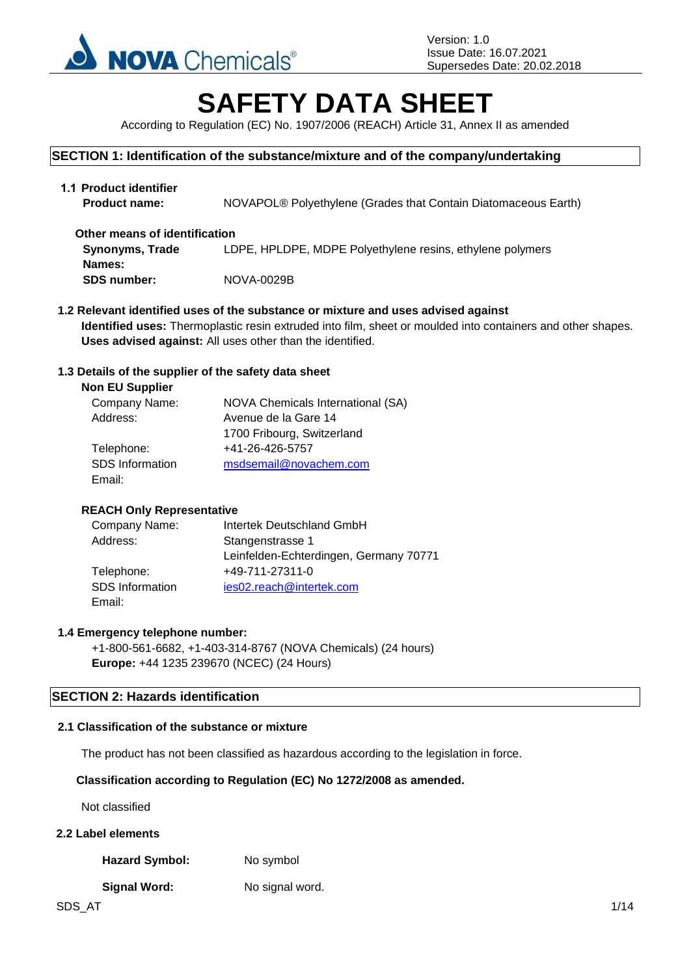

# **SAFETY DATA SHEET**

According to Regulation (EC) No. 1907/2006 (REACH) Article 31, Annex II as amended

### **SECTION 1: Identification of the substance/mixture and of the company/undertaking**

| 1.1 Product identifier<br><b>Product name:</b> | NOVAPOL <sup>®</sup> Polyethylene (Grades that Contain Diatomaceous Earth) |
|------------------------------------------------|----------------------------------------------------------------------------|
| Other means of identification                  |                                                                            |
| <b>Synonyms, Trade</b>                         | LDPE, HPLDPE, MDPE Polyethylene resins, ethylene polymers                  |
| Names:                                         |                                                                            |
| <b>SDS number:</b>                             | NOVA-0029B                                                                 |

**1.2 Relevant identified uses of the substance or mixture and uses advised against Identified uses:** Thermoplastic resin extruded into film, sheet or moulded into containers and other shapes. **Uses advised against:** All uses other than the identified.

### **1.3 Details of the supplier of the safety data sheet**

| <b>NOVA Chemicals International (SA)</b> |
|------------------------------------------|
| Avenue de la Gare 14                     |
| 1700 Fribourg, Switzerland               |
| +41-26-426-5757                          |
| msdsemail@novachem.com                   |
|                                          |
|                                          |

### **REACH Only Representative**

| Company Name:          | Intertek Deutschland GmbH              |
|------------------------|----------------------------------------|
| Address:               | Stangenstrasse 1                       |
|                        | Leinfelden-Echterdingen, Germany 70771 |
| Telephone:             | +49-711-27311-0                        |
| <b>SDS</b> Information | ies02.reach@intertek.com               |
| Email:                 |                                        |

### **1.4 Emergency telephone number:**

+1-800-561-6682, +1-403-314-8767 (NOVA Chemicals) (24 hours) **Europe:** +44 1235 239670 (NCEC) (24 Hours)

### **SECTION 2: Hazards identification**

#### **2.1 Classification of the substance or mixture**

The product has not been classified as hazardous according to the legislation in force.

### **Classification according to Regulation (EC) No 1272/2008 as amended.**

Not classified

### **2.2 Label elements**

Hazard Symbol: No symbol

### **Signal Word:** No signal word.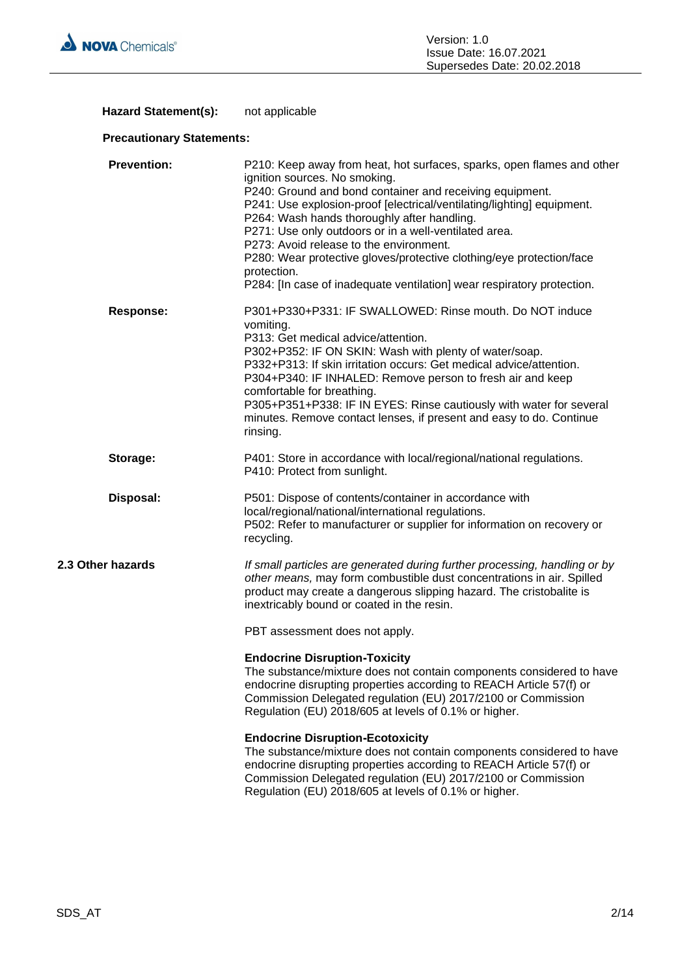

### Hazard Statement(s): not applicable

### **Precautionary Statements:**

| <b>Prevention:</b> | P210: Keep away from heat, hot surfaces, sparks, open flames and other<br>ignition sources. No smoking.<br>P240: Ground and bond container and receiving equipment.<br>P241: Use explosion-proof [electrical/ventilating/lighting] equipment.<br>P264: Wash hands thoroughly after handling.<br>P271: Use only outdoors or in a well-ventilated area.<br>P273: Avoid release to the environment.<br>P280: Wear protective gloves/protective clothing/eye protection/face<br>protection.<br>P284: [In case of inadequate ventilation] wear respiratory protection. |
|--------------------|-------------------------------------------------------------------------------------------------------------------------------------------------------------------------------------------------------------------------------------------------------------------------------------------------------------------------------------------------------------------------------------------------------------------------------------------------------------------------------------------------------------------------------------------------------------------|
| <b>Response:</b>   | P301+P330+P331: IF SWALLOWED: Rinse mouth. Do NOT induce<br>vomiting.<br>P313: Get medical advice/attention.<br>P302+P352: IF ON SKIN: Wash with plenty of water/soap.<br>P332+P313: If skin irritation occurs: Get medical advice/attention.<br>P304+P340: IF INHALED: Remove person to fresh air and keep<br>comfortable for breathing.<br>P305+P351+P338: IF IN EYES: Rinse cautiously with water for several<br>minutes. Remove contact lenses, if present and easy to do. Continue<br>rinsing.                                                               |
| Storage:           | P401: Store in accordance with local/regional/national regulations.<br>P410: Protect from sunlight.                                                                                                                                                                                                                                                                                                                                                                                                                                                               |
| Disposal:          | P501: Dispose of contents/container in accordance with<br>local/regional/national/international regulations.<br>P502: Refer to manufacturer or supplier for information on recovery or<br>recycling.                                                                                                                                                                                                                                                                                                                                                              |
| 2.3 Other hazards  | If small particles are generated during further processing, handling or by<br>other means, may form combustible dust concentrations in air. Spilled<br>product may create a dangerous slipping hazard. The cristobalite is<br>inextricably bound or coated in the resin.                                                                                                                                                                                                                                                                                          |
|                    | PBT assessment does not apply.                                                                                                                                                                                                                                                                                                                                                                                                                                                                                                                                    |
|                    | <b>Endocrine Disruption-Toxicity</b><br>The substance/mixture does not contain components considered to have<br>endocrine disrupting properties according to REACH Article 57(f) or<br>Commission Delegated regulation (EU) 2017/2100 or Commission<br>Regulation (EU) 2018/605 at levels of 0.1% or higher.                                                                                                                                                                                                                                                      |
|                    | <b>Endocrine Disruption-Ecotoxicity</b><br>The substance/mixture does not contain components considered to have<br>endocrine disrupting properties according to REACH Article 57(f) or<br>Commission Delegated regulation (EU) 2017/2100 or Commission<br>Regulation (EU) 2018/605 at levels of 0.1% or higher.                                                                                                                                                                                                                                                   |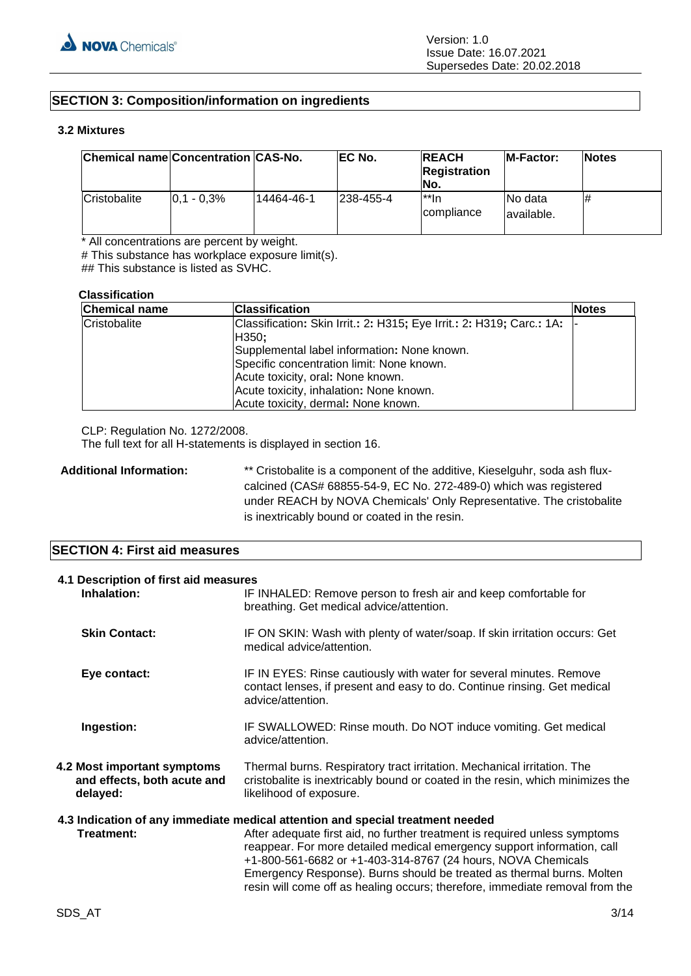### **SECTION 3: Composition/information on ingredients**

#### **3.2 Mixtures**

| Chemical name Concentration CAS-No. |                 |            | EC No.     | <b>REACH</b><br><b>Registration</b><br>INo. | <b>IM-Factor:</b>       | <b>Notes</b> |
|-------------------------------------|-----------------|------------|------------|---------------------------------------------|-------------------------|--------------|
| Cristobalite                        | $ 0.1 - 0.3\% $ | 14464-46-1 | 1238-455-4 | l**In<br><i>compliance</i>                  | INo data<br>lavailable. | #            |

\* All concentrations are percent by weight.

# This substance has workplace exposure limit(s).

## This substance is listed as SVHC.

#### **Classification**

| <b>Chemical name</b> | <b>Classification</b>                                                                                                                                                                                                                                                                             | <b>Notes</b> |
|----------------------|---------------------------------------------------------------------------------------------------------------------------------------------------------------------------------------------------------------------------------------------------------------------------------------------------|--------------|
| Cristobalite         | Classification: Skin Irrit.: 2: H315; Eye Irrit.: 2: H319; Carc.: 1A:<br>H350;<br>Supplemental label information: None known.<br>Specific concentration limit: None known.<br>Acute toxicity, oral: None known.<br>Acute toxicity, inhalation: None known.<br>Acute toxicity, dermal: None known. |              |

CLP: Regulation No. 1272/2008.

The full text for all H-statements is displayed in section 16.

Additional Information: \*\* Cristobalite is a component of the additive, Kieselguhr, soda ash fluxcalcined (CAS# 68855-54-9, EC No. 272-489-0) which was registered under REACH by NOVA Chemicals' Only Representative. The cristobalite is inextricably bound or coated in the resin.

### **SECTION 4: First aid measures**

| 4.1 Description of first aid measures<br>Inhalation:                   | IF INHALED: Remove person to fresh air and keep comfortable for<br>breathing. Get medical advice/attention.                                                                                                                                                                                                                                                                                                                                                      |  |
|------------------------------------------------------------------------|------------------------------------------------------------------------------------------------------------------------------------------------------------------------------------------------------------------------------------------------------------------------------------------------------------------------------------------------------------------------------------------------------------------------------------------------------------------|--|
| <b>Skin Contact:</b>                                                   | IF ON SKIN: Wash with plenty of water/soap. If skin irritation occurs: Get<br>medical advice/attention.                                                                                                                                                                                                                                                                                                                                                          |  |
| Eye contact:                                                           | IF IN EYES: Rinse cautiously with water for several minutes. Remove<br>contact lenses, if present and easy to do. Continue rinsing. Get medical<br>advice/attention.                                                                                                                                                                                                                                                                                             |  |
| Ingestion:                                                             | IF SWALLOWED: Rinse mouth. Do NOT induce vomiting. Get medical<br>advice/attention.                                                                                                                                                                                                                                                                                                                                                                              |  |
| 4.2 Most important symptoms<br>and effects, both acute and<br>delayed: | Thermal burns. Respiratory tract irritation. Mechanical irritation. The<br>cristobalite is inextricably bound or coated in the resin, which minimizes the<br>likelihood of exposure.                                                                                                                                                                                                                                                                             |  |
| Treatment:                                                             | 4.3 Indication of any immediate medical attention and special treatment needed<br>After adequate first aid, no further treatment is required unless symptoms<br>reappear. For more detailed medical emergency support information, call<br>+1-800-561-6682 or +1-403-314-8767 (24 hours, NOVA Chemicals<br>Emergency Response). Burns should be treated as thermal burns. Molten<br>resin will come off as healing occurs; therefore, immediate removal from the |  |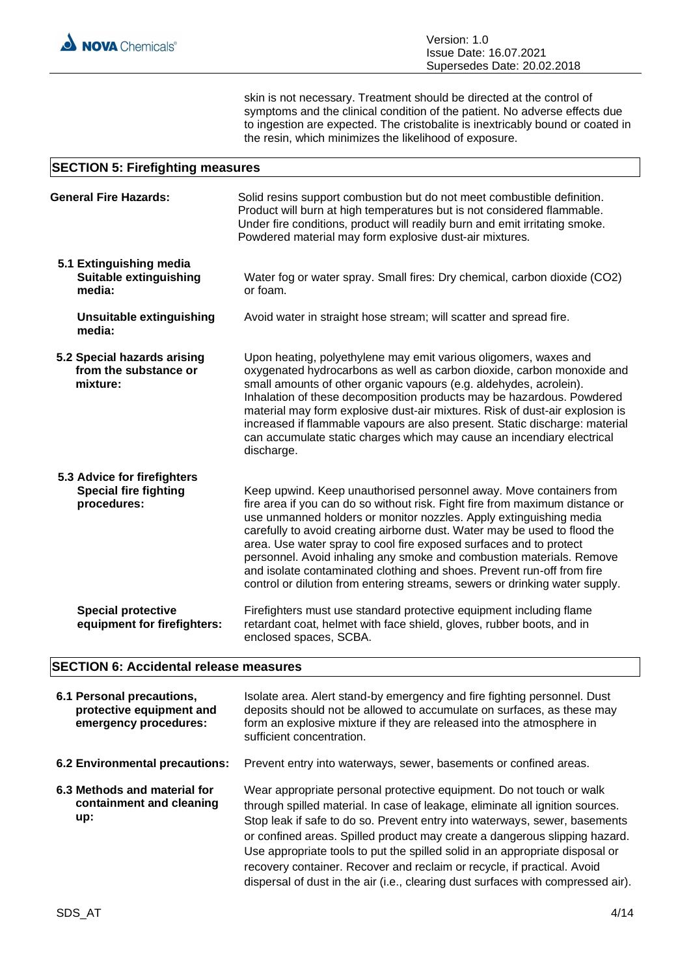skin is not necessary. Treatment should be directed at the control of symptoms and the clinical condition of the patient. No adverse effects due to ingestion are expected. The cristobalite is inextricably bound or coated in the resin, which minimizes the likelihood of exposure.

#### **SECTION 5: Firefighting measures**

| <b>General Fire Hazards:</b>                                               | Solid resins support combustion but do not meet combustible definition.<br>Product will burn at high temperatures but is not considered flammable.<br>Under fire conditions, product will readily burn and emit irritating smoke.<br>Powdered material may form explosive dust-air mixtures.                                                                                                                                                                                                                                                                                                                  |
|----------------------------------------------------------------------------|---------------------------------------------------------------------------------------------------------------------------------------------------------------------------------------------------------------------------------------------------------------------------------------------------------------------------------------------------------------------------------------------------------------------------------------------------------------------------------------------------------------------------------------------------------------------------------------------------------------|
| 5.1 Extinguishing media<br><b>Suitable extinguishing</b><br>media:         | Water fog or water spray. Small fires: Dry chemical, carbon dioxide (CO2)<br>or foam.                                                                                                                                                                                                                                                                                                                                                                                                                                                                                                                         |
| <b>Unsuitable extinguishing</b><br>media:                                  | Avoid water in straight hose stream; will scatter and spread fire.                                                                                                                                                                                                                                                                                                                                                                                                                                                                                                                                            |
| 5.2 Special hazards arising<br>from the substance or<br>mixture:           | Upon heating, polyethylene may emit various oligomers, waxes and<br>oxygenated hydrocarbons as well as carbon dioxide, carbon monoxide and<br>small amounts of other organic vapours (e.g. aldehydes, acrolein).<br>Inhalation of these decomposition products may be hazardous. Powdered<br>material may form explosive dust-air mixtures. Risk of dust-air explosion is<br>increased if flammable vapours are also present. Static discharge: material<br>can accumulate static charges which may cause an incendiary electrical<br>discharge.                                                              |
| 5.3 Advice for firefighters<br><b>Special fire fighting</b><br>procedures: | Keep upwind. Keep unauthorised personnel away. Move containers from<br>fire area if you can do so without risk. Fight fire from maximum distance or<br>use unmanned holders or monitor nozzles. Apply extinguishing media<br>carefully to avoid creating airborne dust. Water may be used to flood the<br>area. Use water spray to cool fire exposed surfaces and to protect<br>personnel. Avoid inhaling any smoke and combustion materials. Remove<br>and isolate contaminated clothing and shoes. Prevent run-off from fire<br>control or dilution from entering streams, sewers or drinking water supply. |
| <b>Special protective</b><br>equipment for firefighters:                   | Firefighters must use standard protective equipment including flame<br>retardant coat, helmet with face shield, gloves, rubber boots, and in<br>enclosed spaces, SCBA.                                                                                                                                                                                                                                                                                                                                                                                                                                        |

### **SECTION 6: Accidental release measures**

| 6.1 Personal precautions,<br>protective equipment and<br>emergency procedures: | Isolate area. Alert stand-by emergency and fire fighting personnel. Dust<br>deposits should not be allowed to accumulate on surfaces, as these may<br>form an explosive mixture if they are released into the atmosphere in<br>sufficient concentration.                                                                                                                                                                                                                                                                                                         |
|--------------------------------------------------------------------------------|------------------------------------------------------------------------------------------------------------------------------------------------------------------------------------------------------------------------------------------------------------------------------------------------------------------------------------------------------------------------------------------------------------------------------------------------------------------------------------------------------------------------------------------------------------------|
| 6.2 Environmental precautions:                                                 | Prevent entry into waterways, sewer, basements or confined areas.                                                                                                                                                                                                                                                                                                                                                                                                                                                                                                |
| 6.3 Methods and material for<br>containment and cleaning<br>up:                | Wear appropriate personal protective equipment. Do not touch or walk<br>through spilled material. In case of leakage, eliminate all ignition sources.<br>Stop leak if safe to do so. Prevent entry into waterways, sewer, basements<br>or confined areas. Spilled product may create a dangerous slipping hazard.<br>Use appropriate tools to put the spilled solid in an appropriate disposal or<br>recovery container. Recover and reclaim or recycle, if practical. Avoid<br>dispersal of dust in the air (i.e., clearing dust surfaces with compressed air). |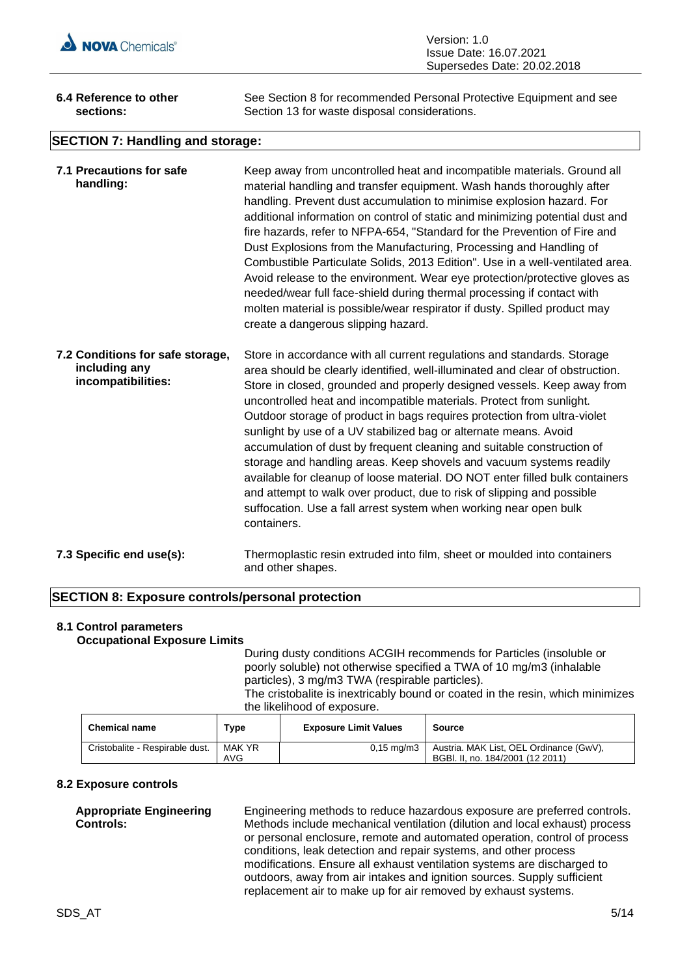

| Version: 1.0                  |
|-------------------------------|
| <b>Issue Date: 16.07.2021</b> |
| Supersedes Date: 20.02.2018   |

| 6.4 Reference to other      | See Section 8 for recommended Personal Protective Equipment and see |
|-----------------------------|---------------------------------------------------------------------|
| sections:                   | Section 13 for waste disposal considerations.                       |
| $- - - - - - - - - - - - -$ |                                                                     |

### **SECTION 7: Handling and storage:**

| 7.1 Precautions for safe<br>handling:                                   | Keep away from uncontrolled heat and incompatible materials. Ground all<br>material handling and transfer equipment. Wash hands thoroughly after<br>handling. Prevent dust accumulation to minimise explosion hazard. For<br>additional information on control of static and minimizing potential dust and<br>fire hazards, refer to NFPA-654, "Standard for the Prevention of Fire and<br>Dust Explosions from the Manufacturing, Processing and Handling of<br>Combustible Particulate Solids, 2013 Edition". Use in a well-ventilated area.<br>Avoid release to the environment. Wear eye protection/protective gloves as<br>needed/wear full face-shield during thermal processing if contact with<br>molten material is possible/wear respirator if dusty. Spilled product may<br>create a dangerous slipping hazard.                                 |
|-------------------------------------------------------------------------|------------------------------------------------------------------------------------------------------------------------------------------------------------------------------------------------------------------------------------------------------------------------------------------------------------------------------------------------------------------------------------------------------------------------------------------------------------------------------------------------------------------------------------------------------------------------------------------------------------------------------------------------------------------------------------------------------------------------------------------------------------------------------------------------------------------------------------------------------------|
| 7.2 Conditions for safe storage,<br>including any<br>incompatibilities: | Store in accordance with all current regulations and standards. Storage<br>area should be clearly identified, well-illuminated and clear of obstruction.<br>Store in closed, grounded and properly designed vessels. Keep away from<br>uncontrolled heat and incompatible materials. Protect from sunlight.<br>Outdoor storage of product in bags requires protection from ultra-violet<br>sunlight by use of a UV stabilized bag or alternate means. Avoid<br>accumulation of dust by frequent cleaning and suitable construction of<br>storage and handling areas. Keep shovels and vacuum systems readily<br>available for cleanup of loose material. DO NOT enter filled bulk containers<br>and attempt to walk over product, due to risk of slipping and possible<br>suffocation. Use a fall arrest system when working near open bulk<br>containers. |
| 7.3 Specific end use(s):                                                | Thermoplastic resin extruded into film, sheet or moulded into containers<br>and other shapes.                                                                                                                                                                                                                                                                                                                                                                                                                                                                                                                                                                                                                                                                                                                                                              |

### **SECTION 8: Exposure controls/personal protection**

#### **8.1 Control parameters Occupational Exposure Limits**

During dusty conditions ACGIH recommends for Particles (insoluble or poorly soluble) not otherwise specified a TWA of 10 mg/m3 (inhalable particles), 3 mg/m3 TWA (respirable particles).

The cristobalite is inextricably bound or coated in the resin, which minimizes the likelihood of exposure.

| <b>Chemical name</b>            | $\mathsf{Type}$ | <b>Exposure Limit Values</b> | Source                                                                      |
|---------------------------------|-----------------|------------------------------|-----------------------------------------------------------------------------|
| Cristobalite - Respirable dust. | MAK YR<br>AVG   | $0.15 \text{ mg/m}$ 3        | Austria. MAK List, OEL Ordinance (GwV),<br>BGBI, II, no. 184/2001 (12 2011) |

#### **8.2 Exposure controls**

#### **Appropriate Engineering Controls:**

Engineering methods to reduce hazardous exposure are preferred controls. Methods include mechanical ventilation (dilution and local exhaust) process or personal enclosure, remote and automated operation, control of process conditions, leak detection and repair systems, and other process modifications. Ensure all exhaust ventilation systems are discharged to outdoors, away from air intakes and ignition sources. Supply sufficient replacement air to make up for air removed by exhaust systems.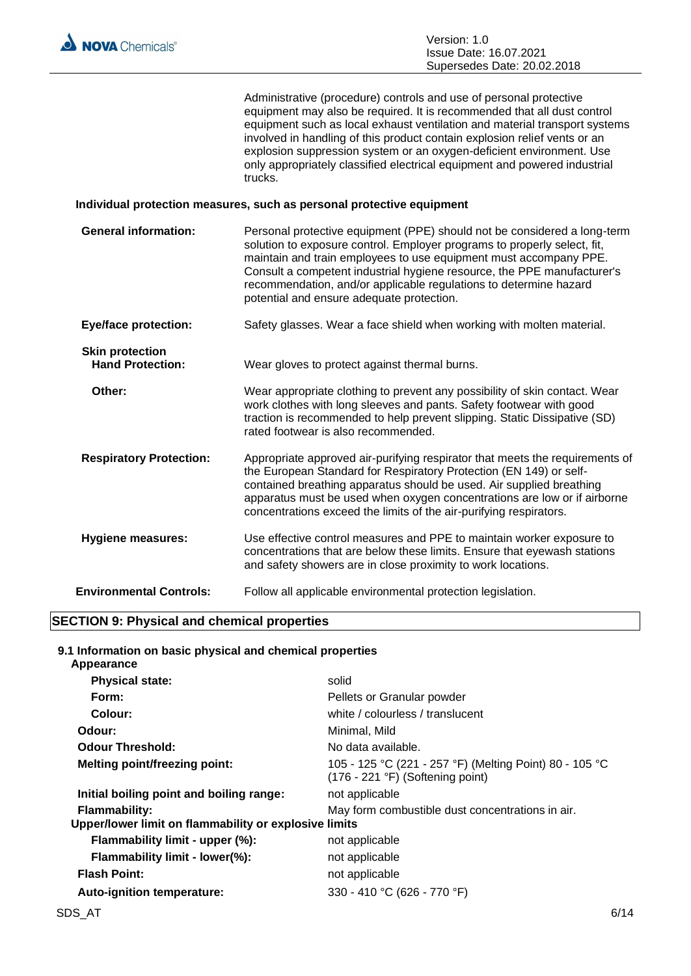

Administrative (procedure) controls and use of personal protective equipment may also be required. It is recommended that all dust control equipment such as local exhaust ventilation and material transport systems involved in handling of this product contain explosion relief vents or an explosion suppression system or an oxygen-deficient environment. Use only appropriately classified electrical equipment and powered industrial trucks.

#### **Individual protection measures, such as personal protective equipment**

| <b>General information:</b>                       | Personal protective equipment (PPE) should not be considered a long-term<br>solution to exposure control. Employer programs to properly select, fit,<br>maintain and train employees to use equipment must accompany PPE.<br>Consult a competent industrial hygiene resource, the PPE manufacturer's<br>recommendation, and/or applicable regulations to determine hazard<br>potential and ensure adequate protection. |
|---------------------------------------------------|------------------------------------------------------------------------------------------------------------------------------------------------------------------------------------------------------------------------------------------------------------------------------------------------------------------------------------------------------------------------------------------------------------------------|
| <b>Eye/face protection:</b>                       | Safety glasses. Wear a face shield when working with molten material.                                                                                                                                                                                                                                                                                                                                                  |
| <b>Skin protection</b><br><b>Hand Protection:</b> | Wear gloves to protect against thermal burns.                                                                                                                                                                                                                                                                                                                                                                          |
| Other:                                            | Wear appropriate clothing to prevent any possibility of skin contact. Wear<br>work clothes with long sleeves and pants. Safety footwear with good<br>traction is recommended to help prevent slipping. Static Dissipative (SD)<br>rated footwear is also recommended.                                                                                                                                                  |
| <b>Respiratory Protection:</b>                    | Appropriate approved air-purifying respirator that meets the requirements of<br>the European Standard for Respiratory Protection (EN 149) or self-<br>contained breathing apparatus should be used. Air supplied breathing<br>apparatus must be used when oxygen concentrations are low or if airborne<br>concentrations exceed the limits of the air-purifying respirators.                                           |
| <b>Hygiene measures:</b>                          | Use effective control measures and PPE to maintain worker exposure to<br>concentrations that are below these limits. Ensure that eyewash stations<br>and safety showers are in close proximity to work locations.                                                                                                                                                                                                      |
| <b>Environmental Controls:</b>                    | Follow all applicable environmental protection legislation.                                                                                                                                                                                                                                                                                                                                                            |

#### **SECTION 9: Physical and chemical properties**

**9.1 Information on basic physical and chemical properties Appearance**

| solid                                                                                                |
|------------------------------------------------------------------------------------------------------|
| Pellets or Granular powder                                                                           |
| white / colourless / translucent                                                                     |
| Minimal, Mild                                                                                        |
| No data available.                                                                                   |
| 105 - 125 °C (221 - 257 °F) (Melting Point) 80 - 105 °C<br>$(176 - 221 \degree F)$ (Softening point) |
| not applicable                                                                                       |
| May form combustible dust concentrations in air.                                                     |
| Upper/lower limit on flammability or explosive limits                                                |
| not applicable                                                                                       |
| not applicable                                                                                       |
| not applicable                                                                                       |
| 330 - 410 °C (626 - 770 °F)                                                                          |
|                                                                                                      |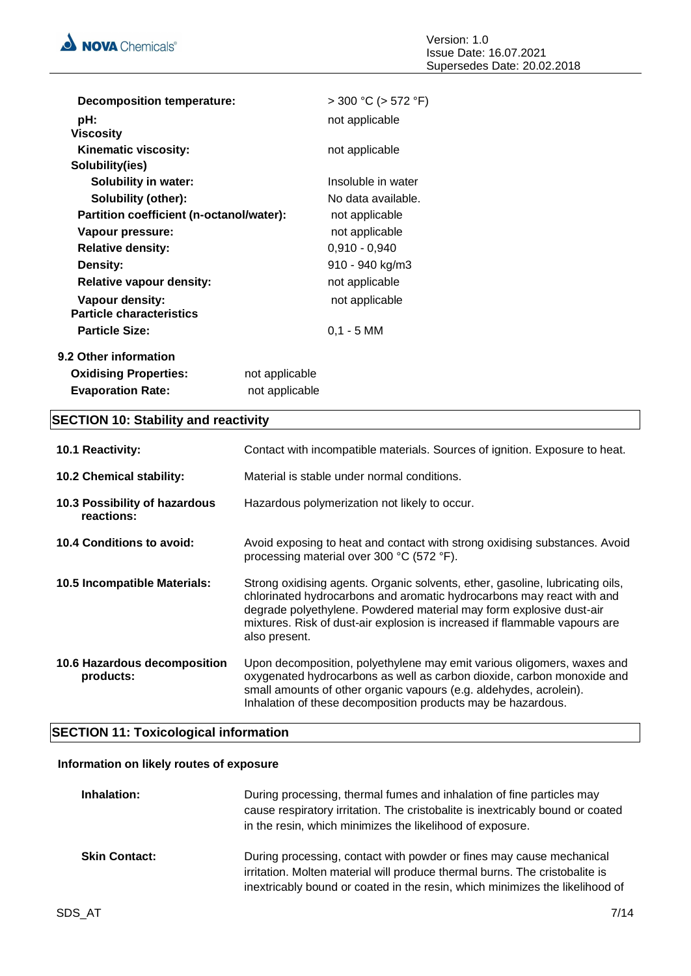

| <b>Decomposition temperature:</b>                  |                | $>$ 300 °C ( $>$ 572 °F) |
|----------------------------------------------------|----------------|--------------------------|
| pH:<br><b>Viscosity</b>                            |                | not applicable           |
| Kinematic viscosity:<br>Solubility(ies)            |                | not applicable           |
| <b>Solubility in water:</b>                        |                | Insoluble in water       |
| Solubility (other):                                |                | No data available.       |
| Partition coefficient (n-octanol/water):           |                | not applicable           |
| Vapour pressure:                                   |                | not applicable           |
| <b>Relative density:</b>                           |                | $0,910 - 0,940$          |
| Density:                                           |                | 910 - 940 kg/m3          |
| <b>Relative vapour density:</b>                    |                | not applicable           |
| Vapour density:<br><b>Particle characteristics</b> |                | not applicable           |
| <b>Particle Size:</b>                              |                | $0,1 - 5$ MM             |
| 9.2 Other information                              |                |                          |
| <b>Oxidising Properties:</b>                       | not applicable |                          |
| <b>Evaporation Rate:</b>                           | not applicable |                          |

## **SECTION 10: Stability and reactivity**

| 10.1 Reactivity:                            | Contact with incompatible materials. Sources of ignition. Exposure to heat.                                                                                                                                                                                                                                                  |
|---------------------------------------------|------------------------------------------------------------------------------------------------------------------------------------------------------------------------------------------------------------------------------------------------------------------------------------------------------------------------------|
| 10.2 Chemical stability:                    | Material is stable under normal conditions.                                                                                                                                                                                                                                                                                  |
| 10.3 Possibility of hazardous<br>reactions: | Hazardous polymerization not likely to occur.                                                                                                                                                                                                                                                                                |
| 10.4 Conditions to avoid:                   | Avoid exposing to heat and contact with strong oxidising substances. Avoid<br>processing material over 300 °C (572 °F).                                                                                                                                                                                                      |
| 10.5 Incompatible Materials:                | Strong oxidising agents. Organic solvents, ether, gasoline, lubricating oils,<br>chlorinated hydrocarbons and aromatic hydrocarbons may react with and<br>degrade polyethylene. Powdered material may form explosive dust-air<br>mixtures. Risk of dust-air explosion is increased if flammable vapours are<br>also present. |
| 10.6 Hazardous decomposition<br>products:   | Upon decomposition, polyethylene may emit various oligomers, waxes and<br>oxygenated hydrocarbons as well as carbon dioxide, carbon monoxide and<br>small amounts of other organic vapours (e.g. aldehydes, acrolein).<br>Inhalation of these decomposition products may be hazardous.                                       |

### **SECTION 11: Toxicological information**

### **Information on likely routes of exposure**

| Inhalation:          | During processing, thermal fumes and inhalation of fine particles may<br>cause respiratory irritation. The cristobalite is inextricably bound or coated<br>in the resin, which minimizes the likelihood of exposure.                |
|----------------------|-------------------------------------------------------------------------------------------------------------------------------------------------------------------------------------------------------------------------------------|
| <b>Skin Contact:</b> | During processing, contact with powder or fines may cause mechanical<br>irritation. Molten material will produce thermal burns. The cristobalite is<br>inextricably bound or coated in the resin, which minimizes the likelihood of |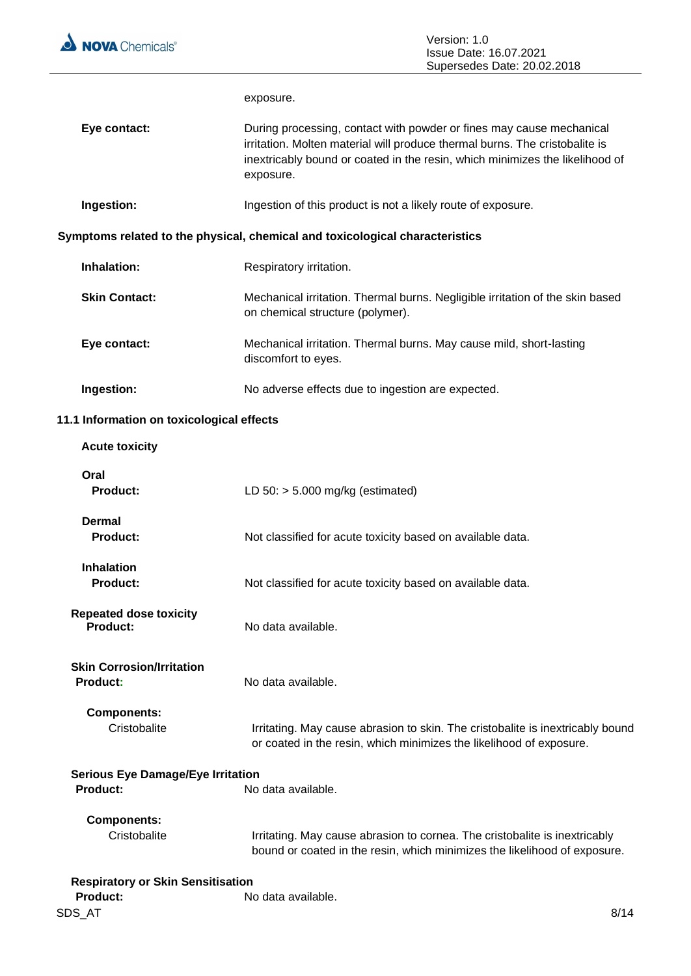

|                                                                            | exposure.                                                                                                                                                                                                                                        |  |
|----------------------------------------------------------------------------|--------------------------------------------------------------------------------------------------------------------------------------------------------------------------------------------------------------------------------------------------|--|
| Eye contact:                                                               | During processing, contact with powder or fines may cause mechanical<br>irritation. Molten material will produce thermal burns. The cristobalite is<br>inextricably bound or coated in the resin, which minimizes the likelihood of<br>exposure. |  |
| Ingestion:                                                                 | Ingestion of this product is not a likely route of exposure.                                                                                                                                                                                     |  |
|                                                                            | Symptoms related to the physical, chemical and toxicological characteristics                                                                                                                                                                     |  |
| Inhalation:                                                                | Respiratory irritation.                                                                                                                                                                                                                          |  |
| <b>Skin Contact:</b>                                                       | Mechanical irritation. Thermal burns. Negligible irritation of the skin based<br>on chemical structure (polymer).                                                                                                                                |  |
| Eye contact:                                                               | Mechanical irritation. Thermal burns. May cause mild, short-lasting<br>discomfort to eyes.                                                                                                                                                       |  |
| Ingestion:                                                                 | No adverse effects due to ingestion are expected.                                                                                                                                                                                                |  |
| 11.1 Information on toxicological effects                                  |                                                                                                                                                                                                                                                  |  |
| <b>Acute toxicity</b>                                                      |                                                                                                                                                                                                                                                  |  |
| Oral<br><b>Product:</b>                                                    | LD $50:$ > 5.000 mg/kg (estimated)                                                                                                                                                                                                               |  |
| <b>Dermal</b><br><b>Product:</b>                                           | Not classified for acute toxicity based on available data.                                                                                                                                                                                       |  |
| <b>Inhalation</b><br>Product:                                              | Not classified for acute toxicity based on available data.                                                                                                                                                                                       |  |
| <b>Repeated dose toxicity</b><br><b>Product:</b>                           | No data available.                                                                                                                                                                                                                               |  |
| <b>Skin Corrosion/Irritation</b><br>Product:                               | No data available.                                                                                                                                                                                                                               |  |
| <b>Components:</b><br>Cristobalite                                         | Irritating. May cause abrasion to skin. The cristobalite is inextricably bound<br>or coated in the resin, which minimizes the likelihood of exposure.                                                                                            |  |
| <b>Serious Eye Damage/Eye Irritation</b><br>Product:<br>No data available. |                                                                                                                                                                                                                                                  |  |
| <b>Components:</b><br>Cristobalite                                         | Irritating. May cause abrasion to cornea. The cristobalite is inextricably<br>bound or coated in the resin, which minimizes the likelihood of exposure.                                                                                          |  |

| <b>Respiratory or Skin Sensitisation</b> |                    |      |
|------------------------------------------|--------------------|------|
| <b>Product:</b>                          | No data available. |      |
| SDS AT                                   |                    | 8/14 |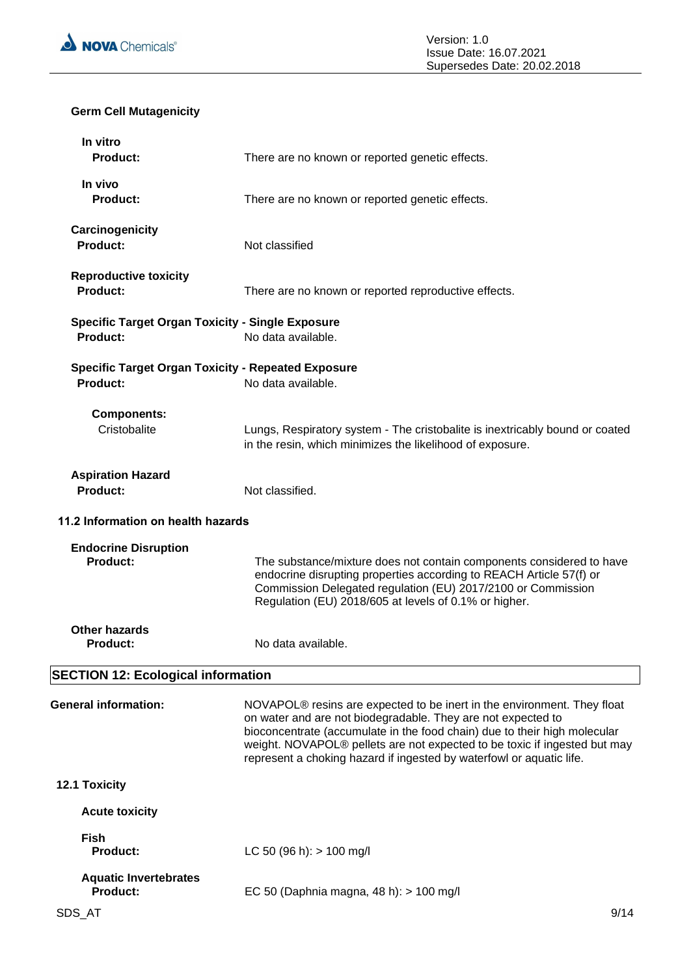

### **Germ Cell Mutagenicity**

| In vitro<br>Product:                                                       | There are no known or reported genetic effects.                                                                                                                                                                                                                                                                                                                                       |
|----------------------------------------------------------------------------|---------------------------------------------------------------------------------------------------------------------------------------------------------------------------------------------------------------------------------------------------------------------------------------------------------------------------------------------------------------------------------------|
| In vivo<br><b>Product:</b>                                                 | There are no known or reported genetic effects.                                                                                                                                                                                                                                                                                                                                       |
| Carcinogenicity<br>Product:                                                | Not classified                                                                                                                                                                                                                                                                                                                                                                        |
| <b>Reproductive toxicity</b><br>Product:                                   | There are no known or reported reproductive effects.                                                                                                                                                                                                                                                                                                                                  |
| <b>Specific Target Organ Toxicity - Single Exposure</b><br><b>Product:</b> | No data available.                                                                                                                                                                                                                                                                                                                                                                    |
| <b>Specific Target Organ Toxicity - Repeated Exposure</b><br>Product:      | No data available.                                                                                                                                                                                                                                                                                                                                                                    |
| <b>Components:</b><br>Cristobalite                                         | Lungs, Respiratory system - The cristobalite is inextricably bound or coated<br>in the resin, which minimizes the likelihood of exposure.                                                                                                                                                                                                                                             |
| <b>Aspiration Hazard</b><br>Product:                                       | Not classified.                                                                                                                                                                                                                                                                                                                                                                       |
| 11.2 Information on health hazards                                         |                                                                                                                                                                                                                                                                                                                                                                                       |
| <b>Endocrine Disruption</b><br>Product:                                    | The substance/mixture does not contain components considered to have<br>endocrine disrupting properties according to REACH Article 57(f) or<br>Commission Delegated regulation (EU) 2017/2100 or Commission<br>Regulation (EU) 2018/605 at levels of 0.1% or higher.                                                                                                                  |
| <b>Other hazards</b><br><b>Product:</b>                                    | No data available.                                                                                                                                                                                                                                                                                                                                                                    |
| <b>SECTION 12: Ecological information</b>                                  |                                                                                                                                                                                                                                                                                                                                                                                       |
| <b>General information:</b>                                                | NOVAPOL <sup>®</sup> resins are expected to be inert in the environment. They float<br>on water and are not biodegradable. They are not expected to<br>bioconcentrate (accumulate in the food chain) due to their high molecular<br>weight. NOVAPOL® pellets are not expected to be toxic if ingested but may<br>represent a choking hazard if ingested by waterfowl or aquatic life. |
| 12.1 Toxicity                                                              |                                                                                                                                                                                                                                                                                                                                                                                       |
| <b>Acute toxicity</b>                                                      |                                                                                                                                                                                                                                                                                                                                                                                       |
| <b>Fish</b><br><b>Product:</b>                                             | LC 50 (96 h): $> 100$ mg/l                                                                                                                                                                                                                                                                                                                                                            |
| <b>Aquatic Invertebrates</b><br><b>Product:</b>                            | EC 50 (Daphnia magna, 48 h): > 100 mg/l                                                                                                                                                                                                                                                                                                                                               |
| SDS_AT                                                                     | 9/14                                                                                                                                                                                                                                                                                                                                                                                  |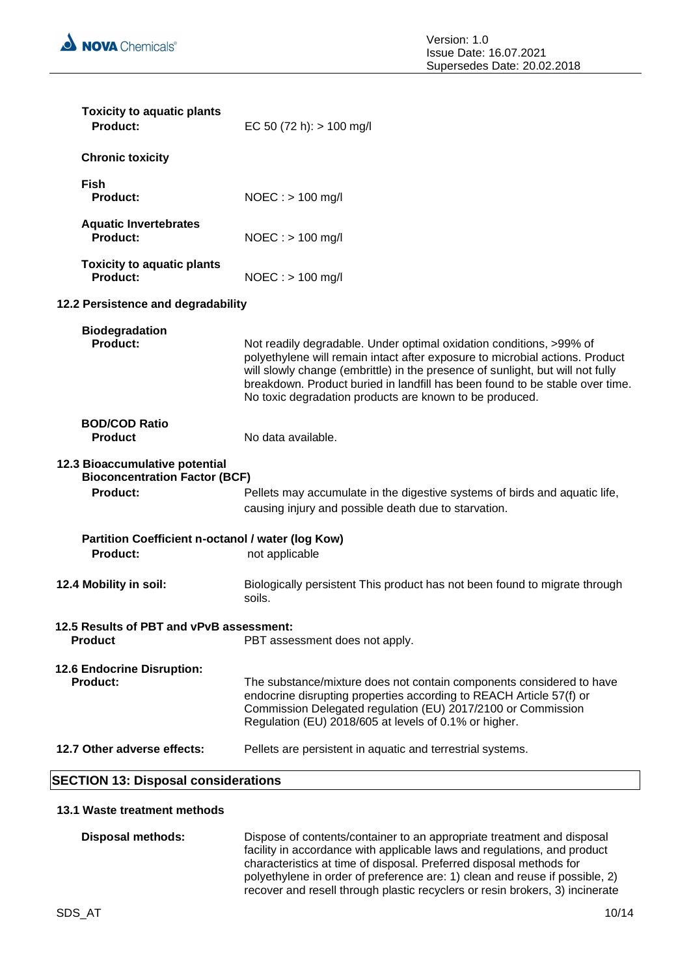

| <b>Toxicity to aquatic plants</b><br><b>Product:</b>                   | EC 50 (72 h): $> 100$ mg/l                                                                                                                                                                                                                                                                                                                                                       |
|------------------------------------------------------------------------|----------------------------------------------------------------------------------------------------------------------------------------------------------------------------------------------------------------------------------------------------------------------------------------------------------------------------------------------------------------------------------|
| <b>Chronic toxicity</b>                                                |                                                                                                                                                                                                                                                                                                                                                                                  |
| Fish<br><b>Product:</b>                                                | $NOEC :$ > 100 mg/l                                                                                                                                                                                                                                                                                                                                                              |
| <b>Aquatic Invertebrates</b><br><b>Product:</b>                        | $NOEC : > 100$ mg/l                                                                                                                                                                                                                                                                                                                                                              |
| <b>Toxicity to aquatic plants</b><br><b>Product:</b>                   | $NOEC : > 100$ mg/l                                                                                                                                                                                                                                                                                                                                                              |
| 12.2 Persistence and degradability                                     |                                                                                                                                                                                                                                                                                                                                                                                  |
| <b>Biodegradation</b><br><b>Product:</b>                               | Not readily degradable. Under optimal oxidation conditions, >99% of<br>polyethylene will remain intact after exposure to microbial actions. Product<br>will slowly change (embrittle) in the presence of sunlight, but will not fully<br>breakdown. Product buried in landfill has been found to be stable over time.<br>No toxic degradation products are known to be produced. |
| <b>BOD/COD Ratio</b><br><b>Product</b>                                 | No data available.                                                                                                                                                                                                                                                                                                                                                               |
| 12.3 Bioaccumulative potential<br><b>Bioconcentration Factor (BCF)</b> |                                                                                                                                                                                                                                                                                                                                                                                  |
| <b>Product:</b>                                                        | Pellets may accumulate in the digestive systems of birds and aquatic life,<br>causing injury and possible death due to starvation.                                                                                                                                                                                                                                               |
| Partition Coefficient n-octanol / water (log Kow)                      |                                                                                                                                                                                                                                                                                                                                                                                  |
| <b>Product:</b>                                                        | not applicable                                                                                                                                                                                                                                                                                                                                                                   |
| 12.4 Mobility in soil:                                                 | Biologically persistent This product has not been found to migrate through<br>soils.                                                                                                                                                                                                                                                                                             |
| 12.5 Results of PBT and vPvB assessment:<br><b>Product</b>             | PBT assessment does not apply.                                                                                                                                                                                                                                                                                                                                                   |
| 12.6 Endocrine Disruption:<br><b>Product:</b>                          | The substance/mixture does not contain components considered to have<br>endocrine disrupting properties according to REACH Article 57(f) or<br>Commission Delegated regulation (EU) 2017/2100 or Commission<br>Regulation (EU) 2018/605 at levels of 0.1% or higher.                                                                                                             |
| 12.7 Other adverse effects:                                            | Pellets are persistent in aquatic and terrestrial systems.                                                                                                                                                                                                                                                                                                                       |
|                                                                        |                                                                                                                                                                                                                                                                                                                                                                                  |

### **SECTION 13: Disposal considerations**

#### **13.1 Waste treatment methods**

**Disposal methods:** Dispose of contents/container to an appropriate treatment and disposal facility in accordance with applicable laws and regulations, and product characteristics at time of disposal. Preferred disposal methods for polyethylene in order of preference are: 1) clean and reuse if possible, 2) recover and resell through plastic recyclers or resin brokers, 3) incinerate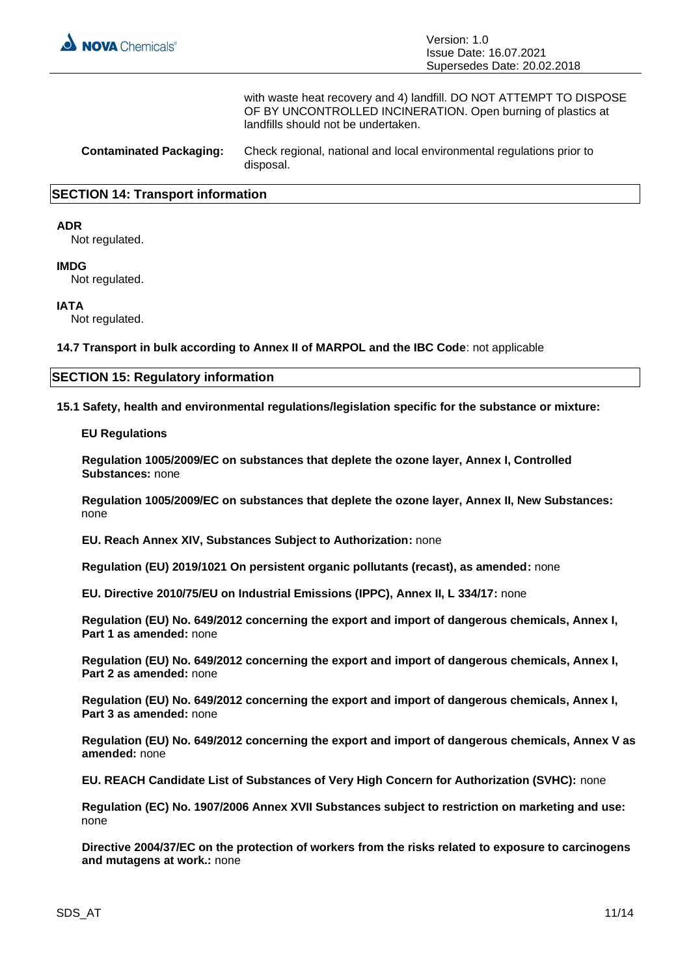

with waste heat recovery and 4) landfill. DO NOT ATTEMPT TO DISPOSE OF BY UNCONTROLLED INCINERATION. Open burning of plastics at landfills should not be undertaken.

**Contaminated Packaging:** Check regional, national and local environmental regulations prior to disposal.

#### **SECTION 14: Transport information**

#### **ADR**

Not regulated.

#### **IMDG**

Not regulated.

#### **IATA**

Not regulated.

**14.7 Transport in bulk according to Annex II of MARPOL and the IBC Code**: not applicable

#### **SECTION 15: Regulatory information**

**15.1 Safety, health and environmental regulations/legislation specific for the substance or mixture:**

#### **EU Regulations**

**Regulation 1005/2009/EC on substances that deplete the ozone layer, Annex I, Controlled Substances:** none

**Regulation 1005/2009/EC on substances that deplete the ozone layer, Annex II, New Substances:**  none

**EU. Reach Annex XIV, Substances Subject to Authorization:** none

**Regulation (EU) 2019/1021 On persistent organic pollutants (recast), as amended:** none

**EU. Directive 2010/75/EU on Industrial Emissions (IPPC), Annex II, L 334/17:** none

**Regulation (EU) No. 649/2012 concerning the export and import of dangerous chemicals, Annex I, Part 1 as amended:** none

**Regulation (EU) No. 649/2012 concerning the export and import of dangerous chemicals, Annex I, Part 2 as amended:** none

**Regulation (EU) No. 649/2012 concerning the export and import of dangerous chemicals, Annex I, Part 3 as amended:** none

**Regulation (EU) No. 649/2012 concerning the export and import of dangerous chemicals, Annex V as amended:** none

**EU. REACH Candidate List of Substances of Very High Concern for Authorization (SVHC):** none

**Regulation (EC) No. 1907/2006 Annex XVII Substances subject to restriction on marketing and use:**  none

**Directive 2004/37/EC on the protection of workers from the risks related to exposure to carcinogens and mutagens at work.:** none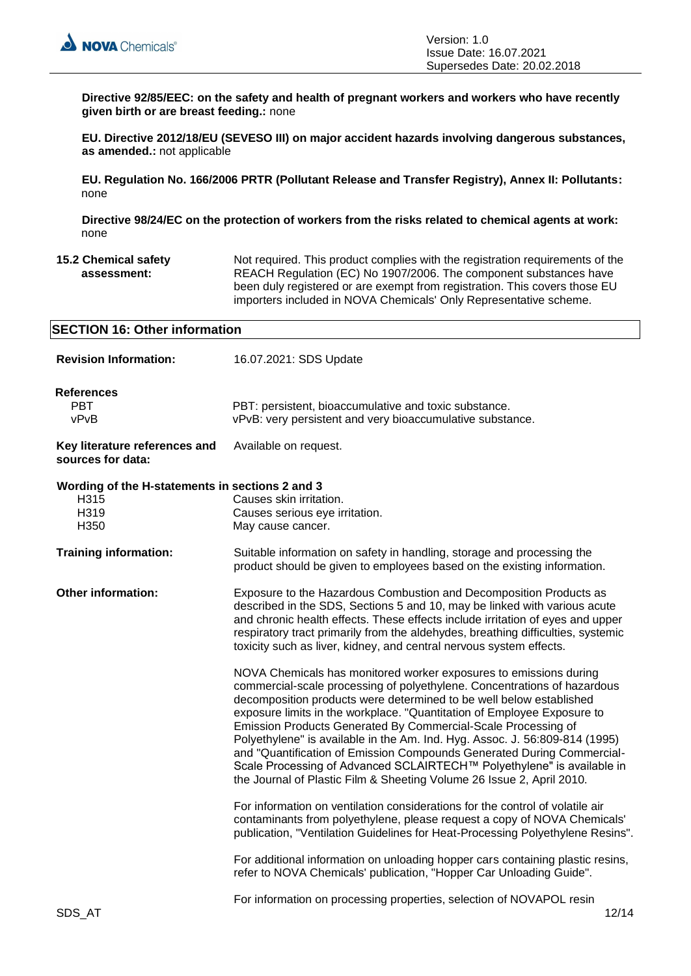**Directive 92/85/EEC: on the safety and health of pregnant workers and workers who have recently given birth or are breast feeding.:** none

**EU. Directive 2012/18/EU (SEVESO III) on major accident hazards involving dangerous substances, as amended.:** not applicable

**EU. Regulation No. 166/2006 PRTR (Pollutant Release and Transfer Registry), Annex II: Pollutants:**  none

**Directive 98/24/EC on the protection of workers from the risks related to chemical agents at work:**  none

**15.2 Chemical safety assessment:** Not required. This product complies with the registration requirements of the REACH Regulation (EC) No 1907/2006. The component substances have been duly registered or are exempt from registration. This covers those EU importers included in NOVA Chemicals' Only Representative scheme.

| <b>SECTION 16: Other information</b>                                    |                                                                                                                                                                                                                                                                                                                                                                                                                                                                                                                                               |  |
|-------------------------------------------------------------------------|-----------------------------------------------------------------------------------------------------------------------------------------------------------------------------------------------------------------------------------------------------------------------------------------------------------------------------------------------------------------------------------------------------------------------------------------------------------------------------------------------------------------------------------------------|--|
| <b>Revision Information:</b>                                            | 16.07.2021: SDS Update                                                                                                                                                                                                                                                                                                                                                                                                                                                                                                                        |  |
| <b>References</b><br><b>PBT</b><br>vPvB                                 | PBT: persistent, bioaccumulative and toxic substance.<br>vPvB: very persistent and very bioaccumulative substance.                                                                                                                                                                                                                                                                                                                                                                                                                            |  |
| Key literature references and<br>sources for data:                      | Available on request.                                                                                                                                                                                                                                                                                                                                                                                                                                                                                                                         |  |
| Wording of the H-statements in sections 2 and 3<br>H315<br>H319<br>H350 | Causes skin irritation.<br>Causes serious eye irritation.<br>May cause cancer.                                                                                                                                                                                                                                                                                                                                                                                                                                                                |  |
| <b>Training information:</b>                                            | Suitable information on safety in handling, storage and processing the<br>product should be given to employees based on the existing information.                                                                                                                                                                                                                                                                                                                                                                                             |  |
| <b>Other information:</b>                                               | Exposure to the Hazardous Combustion and Decomposition Products as<br>described in the SDS, Sections 5 and 10, may be linked with various acute<br>and chronic health effects. These effects include irritation of eyes and upper<br>respiratory tract primarily from the aldehydes, breathing difficulties, systemic<br>toxicity such as liver, kidney, and central nervous system effects.<br>NOVA Chemicals has monitored worker exposures to emissions during<br>commercial-scale processing of polyethylene. Concentrations of hazardous |  |
|                                                                         | decomposition products were determined to be well below established<br>exposure limits in the workplace. "Quantitation of Employee Exposure to<br>Emission Products Generated By Commercial-Scale Processing of<br>Polyethylene" is available in the Am. Ind. Hyg. Assoc. J. 56:809-814 (1995)<br>and "Quantification of Emission Compounds Generated During Commercial-<br>Scale Processing of Advanced SCLAIRTECH™ Polyethylene" is available in<br>the Journal of Plastic Film & Sheeting Volume 26 Issue 2, April 2010.                   |  |
|                                                                         | For information on ventilation considerations for the control of volatile air<br>contaminants from polyethylene, please request a copy of NOVA Chemicals'<br>publication, "Ventilation Guidelines for Heat-Processing Polyethylene Resins".                                                                                                                                                                                                                                                                                                   |  |
|                                                                         | For additional information on unloading hopper cars containing plastic resins,<br>refer to NOVA Chemicals' publication, "Hopper Car Unloading Guide".                                                                                                                                                                                                                                                                                                                                                                                         |  |
| SDS AT                                                                  | For information on processing properties, selection of NOVAPOL resin<br>12/14                                                                                                                                                                                                                                                                                                                                                                                                                                                                 |  |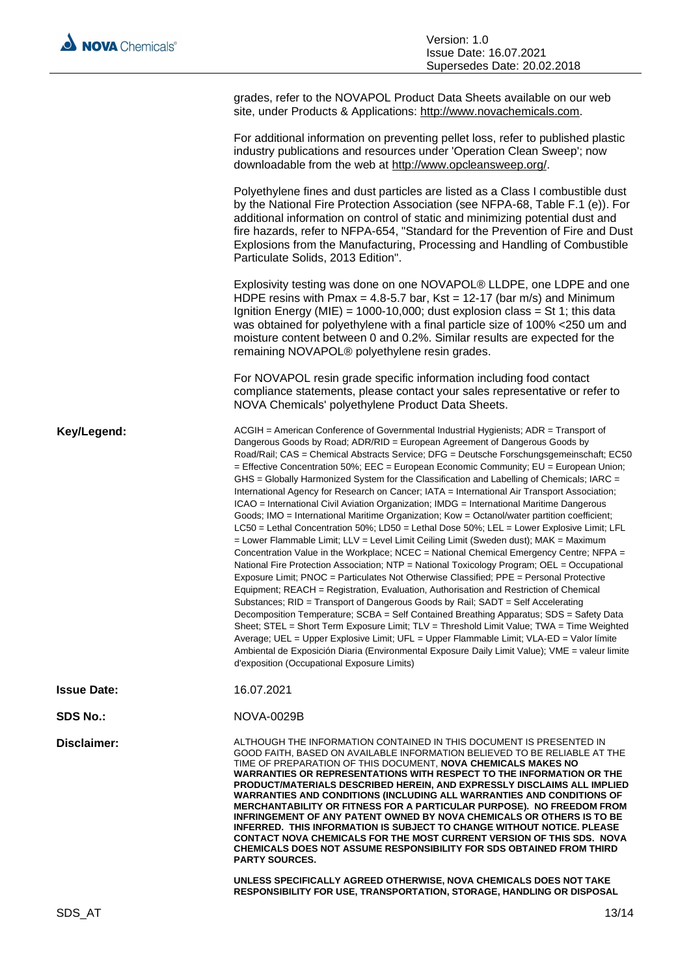grades, refer to the NOVAPOL Product Data Sheets available on our web site, under Products & Applications: http://www.novachemicals.com.

For additional information on preventing pellet loss, refer to published plastic industry publications and resources under 'Operation Clean Sweep'; now downloadable from the web at http://www.opcleansweep.org/.

Polyethylene fines and dust particles are listed as a Class I combustible dust by the National Fire Protection Association (see NFPA-68, Table F.1 (e)). For additional information on control of static and minimizing potential dust and fire hazards, refer to NFPA-654, "Standard for the Prevention of Fire and Dust Explosions from the Manufacturing, Processing and Handling of Combustible Particulate Solids, 2013 Edition".

Explosivity testing was done on one NOVAPOL® LLDPE, one LDPE and one HDPE resins with Pmax =  $4.8 - 5.7$  bar, Kst =  $12 - 17$  (bar m/s) and Minimum Ignition Energy (MIE) =  $1000-10,000$ ; dust explosion class = St 1; this data was obtained for polyethylene with a final particle size of 100% <250 um and moisture content between 0 and 0.2%. Similar results are expected for the remaining NOVAPOL® polyethylene resin grades.

For NOVAPOL resin grade specific information including food contact compliance statements, please contact your sales representative or refer to NOVA Chemicals' polyethylene Product Data Sheets.

Key/Legend: ACGIH = American Conference of Governmental Industrial Hygienists; ADR = Transport of Dangerous Goods by Road; ADR/RID = European Agreement of Dangerous Goods by Road/Rail; CAS = Chemical Abstracts Service; DFG = Deutsche Forschungsgemeinschaft; EC50 = Effective Concentration 50%; EEC = European Economic Community; EU = European Union; GHS = Globally Harmonized System for the Classification and Labelling of Chemicals: IARC = International Agency for Research on Cancer; IATA = International Air Transport Association; ICAO = International Civil Aviation Organization; IMDG = International Maritime Dangerous Goods; IMO = International Maritime Organization; Kow = Octanol/water partition coefficient; LC50 = Lethal Concentration 50%; LD50 = Lethal Dose 50%; LEL = Lower Explosive Limit; LFL = Lower Flammable Limit; LLV = Level Limit Ceiling Limit (Sweden dust); MAK = Maximum Concentration Value in the Workplace; NCEC = National Chemical Emergency Centre; NFPA = National Fire Protection Association; NTP = National Toxicology Program; OEL = Occupational Exposure Limit; PNOC = Particulates Not Otherwise Classified; PPE = Personal Protective Equipment; REACH = Registration, Evaluation, Authorisation and Restriction of Chemical Substances; RID = Transport of Dangerous Goods by Rail; SADT = Self Accelerating Decomposition Temperature; SCBA = Self Contained Breathing Apparatus; SDS = Safety Data Sheet; STEL = Short Term Exposure Limit; TLV = Threshold Limit Value; TWA = Time Weighted Average; UEL = Upper Explosive Limit; UFL = Upper Flammable Limit; VLA-ED = Valor límite Ambiental de Exposición Diaria (Environmental Exposure Daily Limit Value); VME = valeur limite d'exposition (Occupational Exposure Limits)

**Issue Date:** 16.07.2021

**SDS No.:** NOVA-0029B

**Disclaimer:** ALTHOUGH THE INFORMATION CONTAINED IN THIS DOCUMENT IS PRESENTED IN GOOD FAITH, BASED ON AVAILABLE INFORMATION BELIEVED TO BE RELIABLE AT THE TIME OF PREPARATION OF THIS DOCUMENT, **NOVA CHEMICALS MAKES NO WARRANTIES OR REPRESENTATIONS WITH RESPECT TO THE INFORMATION OR THE PRODUCT/MATERIALS DESCRIBED HEREIN, AND EXPRESSLY DISCLAIMS ALL IMPLIED WARRANTIES AND CONDITIONS (INCLUDING ALL WARRANTIES AND CONDITIONS OF MERCHANTABILITY OR FITNESS FOR A PARTICULAR PURPOSE). NO FREEDOM FROM INFRINGEMENT OF ANY PATENT OWNED BY NOVA CHEMICALS OR OTHERS IS TO BE INFERRED. THIS INFORMATION IS SUBJECT TO CHANGE WITHOUT NOTICE. PLEASE CONTACT NOVA CHEMICALS FOR THE MOST CURRENT VERSION OF THIS SDS. NOVA CHEMICALS DOES NOT ASSUME RESPONSIBILITY FOR SDS OBTAINED FROM THIRD PARTY SOURCES.**

> **UNLESS SPECIFICALLY AGREED OTHERWISE, NOVA CHEMICALS DOES NOT TAKE RESPONSIBILITY FOR USE, TRANSPORTATION, STORAGE, HANDLING OR DISPOSAL**